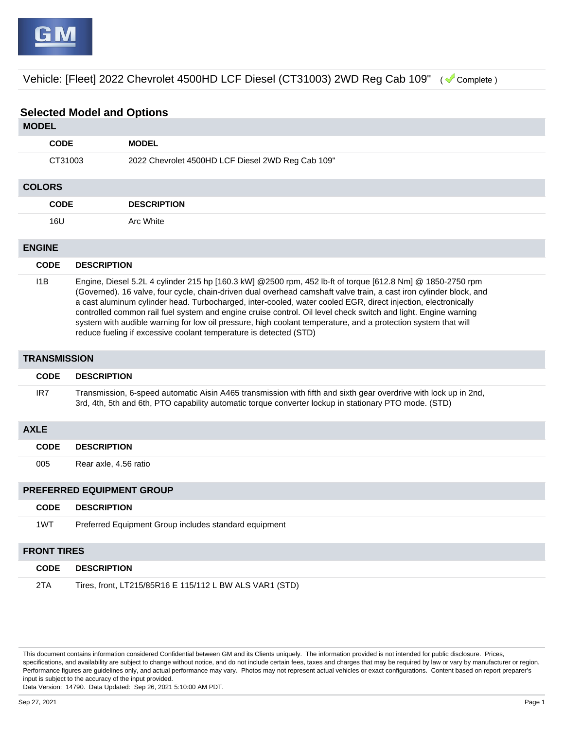Vehicle: [Fleet] 2022 Chevrolet 4500HD LCF Diesel (CT31003) 2WD Reg Cab 109" ( Complete )

## **Selected Model and Options**

| <b>MODEL</b>              |                                                                                                                                                                                                                                                                                                                                                                                                                                                                                                                                                                                                                                                           |                                                                                                                                                                                                                           |  |  |  |  |
|---------------------------|-----------------------------------------------------------------------------------------------------------------------------------------------------------------------------------------------------------------------------------------------------------------------------------------------------------------------------------------------------------------------------------------------------------------------------------------------------------------------------------------------------------------------------------------------------------------------------------------------------------------------------------------------------------|---------------------------------------------------------------------------------------------------------------------------------------------------------------------------------------------------------------------------|--|--|--|--|
| <b>CODE</b>               |                                                                                                                                                                                                                                                                                                                                                                                                                                                                                                                                                                                                                                                           | <b>MODEL</b>                                                                                                                                                                                                              |  |  |  |  |
| CT31003                   |                                                                                                                                                                                                                                                                                                                                                                                                                                                                                                                                                                                                                                                           | 2022 Chevrolet 4500HD LCF Diesel 2WD Reg Cab 109"                                                                                                                                                                         |  |  |  |  |
| <b>COLORS</b>             |                                                                                                                                                                                                                                                                                                                                                                                                                                                                                                                                                                                                                                                           |                                                                                                                                                                                                                           |  |  |  |  |
| <b>CODE</b>               |                                                                                                                                                                                                                                                                                                                                                                                                                                                                                                                                                                                                                                                           | <b>DESCRIPTION</b>                                                                                                                                                                                                        |  |  |  |  |
| 16U                       |                                                                                                                                                                                                                                                                                                                                                                                                                                                                                                                                                                                                                                                           | Arc White                                                                                                                                                                                                                 |  |  |  |  |
| <b>ENGINE</b>             |                                                                                                                                                                                                                                                                                                                                                                                                                                                                                                                                                                                                                                                           |                                                                                                                                                                                                                           |  |  |  |  |
| <b>CODE</b>               | <b>DESCRIPTION</b>                                                                                                                                                                                                                                                                                                                                                                                                                                                                                                                                                                                                                                        |                                                                                                                                                                                                                           |  |  |  |  |
| 11B                       | Engine, Diesel 5.2L 4 cylinder 215 hp [160.3 kW] @2500 rpm, 452 lb-ft of torque [612.8 Nm] @ 1850-2750 rpm<br>(Governed). 16 valve, four cycle, chain-driven dual overhead camshaft valve train, a cast iron cylinder block, and<br>a cast aluminum cylinder head. Turbocharged, inter-cooled, water cooled EGR, direct injection, electronically<br>controlled common rail fuel system and engine cruise control. Oil level check switch and light. Engine warning<br>system with audible warning for low oil pressure, high coolant temperature, and a protection system that will<br>reduce fueling if excessive coolant temperature is detected (STD) |                                                                                                                                                                                                                           |  |  |  |  |
| <b>TRANSMISSION</b>       |                                                                                                                                                                                                                                                                                                                                                                                                                                                                                                                                                                                                                                                           |                                                                                                                                                                                                                           |  |  |  |  |
| <b>CODE</b>               | <b>DESCRIPTION</b>                                                                                                                                                                                                                                                                                                                                                                                                                                                                                                                                                                                                                                        |                                                                                                                                                                                                                           |  |  |  |  |
| IR7                       |                                                                                                                                                                                                                                                                                                                                                                                                                                                                                                                                                                                                                                                           | Transmission, 6-speed automatic Aisin A465 transmission with fifth and sixth gear overdrive with lock up in 2nd,<br>3rd, 4th, 5th and 6th, PTO capability automatic torque converter lockup in stationary PTO mode. (STD) |  |  |  |  |
| <b>AXLE</b>               |                                                                                                                                                                                                                                                                                                                                                                                                                                                                                                                                                                                                                                                           |                                                                                                                                                                                                                           |  |  |  |  |
| <b>CODE</b>               | <b>DESCRIPTION</b>                                                                                                                                                                                                                                                                                                                                                                                                                                                                                                                                                                                                                                        |                                                                                                                                                                                                                           |  |  |  |  |
| 005                       | Rear axle, 4.56 ratio                                                                                                                                                                                                                                                                                                                                                                                                                                                                                                                                                                                                                                     |                                                                                                                                                                                                                           |  |  |  |  |
| PREFERRED EQUIPMENT GROUP |                                                                                                                                                                                                                                                                                                                                                                                                                                                                                                                                                                                                                                                           |                                                                                                                                                                                                                           |  |  |  |  |
| <b>CODE</b>               | <b>DESCRIPTION</b>                                                                                                                                                                                                                                                                                                                                                                                                                                                                                                                                                                                                                                        |                                                                                                                                                                                                                           |  |  |  |  |
| 1WT                       |                                                                                                                                                                                                                                                                                                                                                                                                                                                                                                                                                                                                                                                           | Preferred Equipment Group includes standard equipment                                                                                                                                                                     |  |  |  |  |
| <b>FRONT TIRES</b>        |                                                                                                                                                                                                                                                                                                                                                                                                                                                                                                                                                                                                                                                           |                                                                                                                                                                                                                           |  |  |  |  |
| <b>CODE</b>               | <b>DESCRIPTION</b>                                                                                                                                                                                                                                                                                                                                                                                                                                                                                                                                                                                                                                        |                                                                                                                                                                                                                           |  |  |  |  |

|  | 2TA | Tires, front, LT215/85R16 E 115/112 L BW ALS VAR1 (STD) |
|--|-----|---------------------------------------------------------|
|--|-----|---------------------------------------------------------|

This document contains information considered Confidential between GM and its Clients uniquely. The information provided is not intended for public disclosure. Prices, specifications, and availability are subject to change without notice, and do not include certain fees, taxes and charges that may be required by law or vary by manufacturer or region. Performance figures are guidelines only, and actual performance may vary. Photos may not represent actual vehicles or exact configurations. Content based on report preparer's input is subject to the accuracy of the input provided.

Data Version: 14790. Data Updated: Sep 26, 2021 5:10:00 AM PDT.